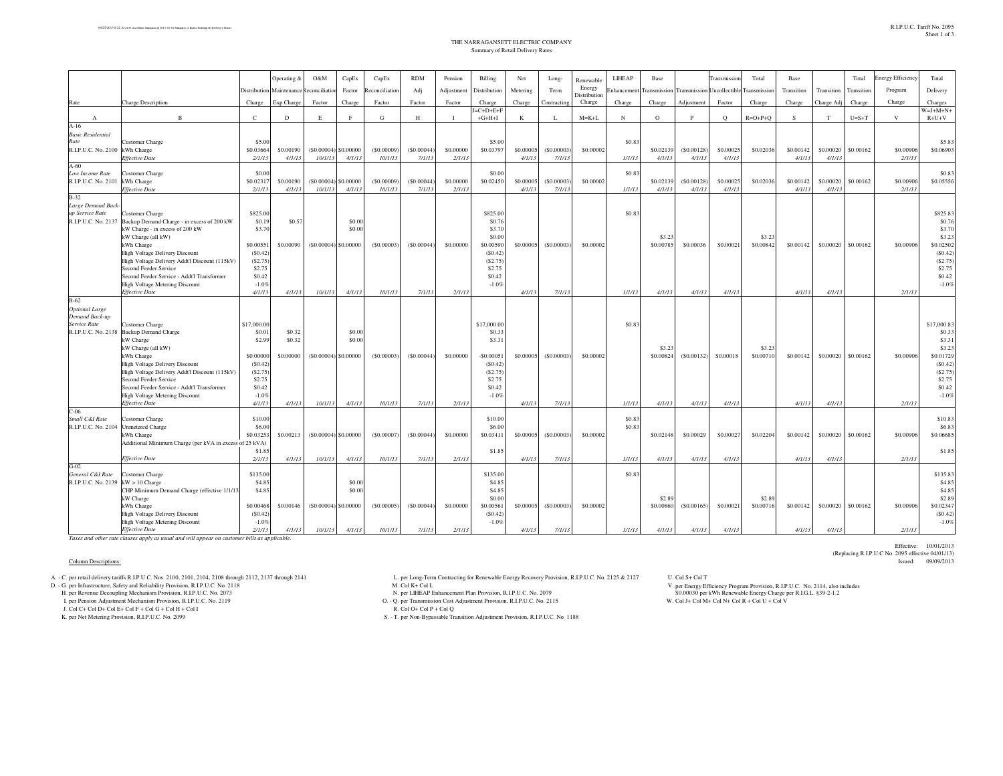## THE NARRAGANSETT ELECTRIC COMPANYSummary of Retail Delivery Rates

|                                    |                                                                                 |                    | Operating & | O&M           | CapEx                  | CapEx          | <b>RDM</b> | Pension      | Billing            | Net       | Long-          | Renewable              | LIHEAP     | Base                |                     | <b>Transmission</b> | Total           | Base       |            | Total      | <b>Energy Efficiency</b> | Total               |
|------------------------------------|---------------------------------------------------------------------------------|--------------------|-------------|---------------|------------------------|----------------|------------|--------------|--------------------|-----------|----------------|------------------------|------------|---------------------|---------------------|---------------------|-----------------|------------|------------|------------|--------------------------|---------------------|
|                                    |                                                                                 | Distribution       | Maintenance | econciliatic  | Factor                 | Reconciliation | Adj        | Adjustment   | Distribution       | Metering  | Term           | Energy                 | inhancemer | <b>Transmission</b> | <b>Transmission</b> | Jncollectibl        | Transmissio     | Transition | Transition | Transition | Program                  | Delivery            |
| Rate                               | <b>Charge Description</b>                                                       | Charge             | Exp Charge  | Factor        | Charge                 | Factor         | Factor     | Factor       | Charge             | Charge    | Contracting    | Distribution<br>Charge | Charge     | Charge              | Adjustment          | Factor              | Charge          | Charge     | Charge Adj | Charge     | Charge                   | Charges             |
|                                    |                                                                                 |                    |             |               |                        |                |            |              | $=C+D+E+F$         |           |                |                        |            |                     |                     |                     |                 |            |            |            |                          | $W = J + M + N +$   |
| $\mathbf{A}$                       | $\mathbf{B}$                                                                    | $\mathcal{C}$      | D           | E             | F                      | G              | H          | $\mathbf{I}$ | $+G+H+I$           | K         | L              | $M=K+L$                | N          | $\Omega$            | P                   | $\circ$             | $R = O + P + O$ | S.         | T          | $U=S+T$    | V                        | $R+U+V$             |
| $A-16$                             |                                                                                 |                    |             |               |                        |                |            |              |                    |           |                |                        |            |                     |                     |                     |                 |            |            |            |                          |                     |
| <b>Basic Residential</b><br>Rate   | Customer Charge                                                                 | \$5.00             |             |               |                        |                |            |              | \$5.00             |           |                |                        | \$0.83     |                     |                     |                     |                 |            |            |            |                          | \$5.83              |
| R.I.P.U.C. No. 2100                | kWh Charge                                                                      | \$0.0366           | \$0,00190   | $($ \$0,00004 | \$0,00000              | (S0,00009)     | (S0,00044) | \$0,00000    | \$0.03797          | \$0,00005 | (S0,00003)     | \$0,00002              |            | \$0.02139           | (S0.00128)          | \$0,00025           | \$0,02036       | \$0.00142  | \$0,00020  | \$0,00162  | \$0,00906                | \$0,06903           |
|                                    | <b>Effective Date</b>                                                           | 2/1/1              | 4/1/13      | 10/1/13       | 4/1/13                 | 10/1/13        | 7/1/13     | 2/1/13       |                    | 4/1/13    | 7/1/13         |                        | 1/1/13     | 4/1/13              | 4/1/13              | 4/1/13              |                 | 4/1/1      | 4/1/1      |            | 2/1/1                    |                     |
| $A-60$                             |                                                                                 |                    |             |               |                        |                |            |              |                    |           |                |                        |            |                     |                     |                     |                 |            |            |            |                          |                     |
| Low Income Rate                    | <b>Customer Charge</b>                                                          | \$0.00             |             |               |                        |                |            |              | \$0.00             |           |                |                        | \$0.83     |                     |                     |                     |                 |            |            |            |                          | \$0.83              |
| R.I.P.U.C. No. 2101                | kWh Charge                                                                      | \$0.0231           | \$0.00190   |               | $(S0.00004)$ \$0.00000 | (S0.00009)     | (S0.00044) | \$0,00000    | \$0.02450          | \$0,00005 | (S0.00003)     | \$0,00002              |            | \$0.02139           | (S0.00128)          | \$0,00025           | \$0.02036       | \$0.00142  | \$0.00020  | \$0.00162  | \$0.00906                | \$0.05556           |
| $B-32$                             | <b>Effective Date</b>                                                           | 2/1/1              | 4/1/13      | 10/1/13       | 4/1/13                 | 10/1/13        | 7/1/13     | 2/1/13       |                    | 4/1/13    | 7/1/13         |                        | 1/1/13     | 4/1/13              | 4/1/13              | 4/1/13              |                 | 4/1/1      | $4/1/1$ .  |            | 2/1/13                   |                     |
| Large Demand Back                  |                                                                                 |                    |             |               |                        |                |            |              |                    |           |                |                        |            |                     |                     |                     |                 |            |            |            |                          |                     |
| up Service Rate                    | <b>Customer Charge</b>                                                          | \$825.00           |             |               |                        |                |            |              | \$825.00           |           |                |                        | \$0.83     |                     |                     |                     |                 |            |            |            |                          | \$825.83            |
| R.I.P.U.C. No. 2137                | Backup Demand Charge - in excess of 200 kW                                      | \$0.19             | \$0.57      |               | \$0.00                 |                |            |              | \$0.76             |           |                |                        |            |                     |                     |                     |                 |            |            |            |                          | \$0.76              |
|                                    | kW Charge - in excess of 200 kW                                                 | \$3.70             |             |               | \$0.00                 |                |            |              | \$3.70             |           |                |                        |            |                     |                     |                     |                 |            |            |            |                          | \$3.70              |
|                                    | kW Charge (all kW)                                                              |                    |             |               |                        |                |            |              | \$0.00             |           |                |                        |            | \$3.23              |                     |                     | \$3.23          |            |            |            |                          | \$3.23              |
|                                    | kWh Charge                                                                      | \$0.0055           | \$0,00090   |               | $(S0.00004)$ \$0.00000 | (S0.00003)     | (S0.00044) | \$0,00000    | \$0.00590          | \$0,00005 | $($ \$0,00003) | \$0,00002              |            | \$0,00785           | \$0,00036           | \$0.0002            | \$0.00842       | \$0.00142  | \$0.00020  | \$0.00162  | \$0,00906                | \$0.02502           |
|                                    | High Voltage Delivery Discount<br>High Voltage Delivery Addt'l Discount (115kV) | (S0.42)<br>(S2.75) |             |               |                        |                |            |              | (S0.42)<br>(S2.75) |           |                |                        |            |                     |                     |                     |                 |            |            |            |                          | (S0.42)<br>(S2.75)  |
|                                    | Second Feeder Service                                                           | \$2.75             |             |               |                        |                |            |              | \$2.75             |           |                |                        |            |                     |                     |                     |                 |            |            |            |                          | \$2.75              |
|                                    | Second Feeder Service - Addt'l Transformer                                      | \$0.42             |             |               |                        |                |            |              | \$0.42             |           |                |                        |            |                     |                     |                     |                 |            |            |            |                          | \$0.42              |
|                                    | <b>High Voltage Metering Discount</b>                                           | $-1.09$            |             |               |                        |                |            |              | $-1.0%$            |           |                |                        |            |                     |                     |                     |                 |            |            |            |                          | $-1.0%$             |
|                                    | <b>Effective Date</b>                                                           | 4/1/13             | 4/1/13      | 10/1/13       | 4/1/13                 | 10/1/13        | 7/1/13     | 2/1/13       |                    | 4/1/13    | 7/1/13         |                        | 1/1/13     | 4/1/13              | 4/1/13              | 4/1/13              |                 | 4/1/13     | 4/1/13     |            | 2/1/13                   |                     |
| $B-62$                             |                                                                                 |                    |             |               |                        |                |            |              |                    |           |                |                        |            |                     |                     |                     |                 |            |            |            |                          |                     |
| <b>Optional Large</b>              |                                                                                 |                    |             |               |                        |                |            |              |                    |           |                |                        |            |                     |                     |                     |                 |            |            |            |                          |                     |
| Demand Back-up<br>Service Rate     | Customer Charge                                                                 | \$17,000.0         |             |               |                        |                |            |              | \$17,000.00        |           |                |                        | \$0.83     |                     |                     |                     |                 |            |            |            |                          | \$17,000.8          |
| R.I.P.U.C. No. 2138                | <b>Backup Demand Charge</b>                                                     | \$0.0              | \$0.32      |               | \$0.00                 |                |            |              | \$0.33             |           |                |                        |            |                     |                     |                     |                 |            |            |            |                          | \$0.33              |
|                                    | kW Charge                                                                       | \$2.99             | \$0.32      |               | \$0.00                 |                |            |              | \$3.31             |           |                |                        |            |                     |                     |                     |                 |            |            |            |                          | \$3.31              |
|                                    | kW Charge (all kW)                                                              |                    |             |               |                        |                |            |              |                    |           |                |                        |            | \$3.23              |                     |                     | \$3.23          |            |            |            |                          | \$3.23              |
|                                    | kWh Charge                                                                      | \$0,00000          | \$0,00000   |               | $(S0,00004)$ \$0,00000 | (S0,00003)     | (S0,00044) | \$0,00000    | $-50,0005$         | \$0,00005 | (S0,00003)     | \$0,00002              |            | \$0,00824           | (S0.00132)          | \$0,00018           | \$0,00710       | \$0,00142  | \$0,00020  | \$0,00162  | \$0,00906                | \$0.01729           |
|                                    | High Voltage Delivery Discount                                                  | (S0.42)            |             |               |                        |                |            |              | (S0.42)            |           |                |                        |            |                     |                     |                     |                 |            |            |            |                          | (\$0.42             |
|                                    | High Voltage Delivery Addt'l Discount (115kV)<br>Second Feeder Service          | (S2.75)<br>\$2.75  |             |               |                        |                |            |              | (S2.75)<br>\$2.75  |           |                |                        |            |                     |                     |                     |                 |            |            |            |                          | (S2.75)<br>\$2.75   |
|                                    | Second Feeder Service - Addt'l Transformer                                      | \$0.42             |             |               |                        |                |            |              | \$0.42             |           |                |                        |            |                     |                     |                     |                 |            |            |            |                          | \$0.42              |
|                                    | <b>High Voltage Metering Discount</b>                                           | $-1.09$            |             |               |                        |                |            |              | $-1.0%$            |           |                |                        |            |                     |                     |                     |                 |            |            |            |                          | $-1.0%$             |
|                                    | Effective Date                                                                  | 4/1/13             | 4/1/13      | 10/1/13       | 4/1/13                 | 10/1/13        | 7/1/13     | 2/1/13       |                    | 4/1/13    | 7/1/13         |                        | 1/1/13     | 4/1/13              | 4/1/13              | 4/1/13              |                 | 4/1/13     | 4/1/13     |            | 2/1/13                   |                     |
| $C-06$                             |                                                                                 |                    |             |               |                        |                |            |              |                    |           |                |                        |            |                     |                     |                     |                 |            |            |            |                          |                     |
| Small C&I Rate                     | <b>Customer Charge</b>                                                          | \$10.00            |             |               |                        |                |            |              | \$10.00            |           |                |                        | \$0.83     |                     |                     |                     |                 |            |            |            |                          | \$10.83             |
| R.I.P.U.C. No. 2104                | <b>Unmetered Charge</b>                                                         | \$6.00<br>\$0.0325 | \$0.00213   |               | $(S0.00004)$ \$0.00000 | (\$0.00007)    | (S0.00044) | \$0,00000    | \$6.00<br>\$0.0341 | \$0.00005 | (S0.00003)     | \$0,00002              | \$0.83     | \$0.02148           | \$0.00029           | \$0.00027           | \$0.02204       | \$0.00142  | \$0.00020  | \$0.00162  | \$0,00906                | \$6.83<br>\$0.06685 |
|                                    | kWh Charge<br>Additional Minimum Charge (per kVA in excess of 25 kVA)           |                    |             |               |                        |                |            |              |                    |           |                |                        |            |                     |                     |                     |                 |            |            |            |                          |                     |
|                                    |                                                                                 | \$1.8              |             |               |                        |                |            |              | \$1.85             |           |                |                        |            |                     |                     |                     |                 |            |            |            |                          | \$1.85              |
|                                    | <b>Effective Date</b>                                                           | 2/1/13             | 4/1/13      | 10/1/13       | 4/1/13                 | 10/1/13        | 7/1/13     | 2/1/13       |                    | 4/1/13    | 7/1/13         |                        | 1/1/13     | 4/1/13              | 4/1/13              | 4/1/13              |                 | 4/1/13     | 4/1/13     |            | 2/1/13                   |                     |
| $G-02$                             |                                                                                 |                    |             |               |                        |                |            |              |                    |           |                |                        |            |                     |                     |                     |                 |            |            |            |                          |                     |
| General C&I Rate                   | <b>Customer Charge</b>                                                          | \$135.00           |             |               |                        |                |            |              | \$135.00           |           |                |                        | \$0.83     |                     |                     |                     |                 |            |            |            |                          | \$135.83            |
| R.I.P.U.C. No. 2139 kW > 10 Charge |                                                                                 | \$4.8              |             |               | \$0.00                 |                |            |              | \$4.85             |           |                |                        |            |                     |                     |                     |                 |            |            |            |                          | \$4.85              |
|                                    | CHP Minimum Demand Charge (effective 1/1/13<br>kW Charge                        | \$4.8              |             |               | \$0.00                 |                |            |              | \$4.85<br>\$0.00   |           |                |                        |            | \$2.89              |                     |                     | \$2.89          |            |            |            |                          | \$4.85<br>\$2.89    |
|                                    | kWh Charge                                                                      | \$0.00468          | \$0.00146   |               | $(S0,00004)$ \$0,00000 | (S0.00005)     | (S0.00044) | \$0,00000    | \$0.00561          | \$0,00005 | (S0.00003)     | \$0,00002              |            | \$0,00860           | (S0.00165)          | \$0.0002            | \$0.00716       | \$0.00142  | \$0.00020  | \$0.00162  | \$0,00906                | \$0.02347           |
|                                    | High Voltage Delivery Discount                                                  | (S0.42)            |             |               |                        |                |            |              | (S0.42)            |           |                |                        |            |                     |                     |                     |                 |            |            |            |                          | (S0.42)             |
|                                    | <b>High Voltage Metering Discount</b>                                           | $-1.09$            |             |               |                        |                |            |              | $-1.0%$            |           |                |                        |            |                     |                     |                     |                 |            |            |            |                          | $-1.0%$             |
|                                    | <b>Effective Date</b>                                                           | 2/1/13             | 4/1/13      | 10/1/13       | 4/1/13                 | 10/1/13        | 7/1/13     | 2/1/13       |                    | 4/1/13    | 7/1/13         |                        | 1/1/13     | 4/1/13              | 4/1/13              | 4/1/13              |                 | 4/1/13     | 4/1/13     |            | 2/1/13                   |                     |

*Effective DateTaxes and other rate clauses apply as usual and will appear on customer bills as applicable.*

## Column Descriptions:

- 
- H. per Revenue Decoupling Mechanism Provision, R.I.P.U.C. No. 2073

I. per Pension Adjustment Mechanism Provision, R.I.P.U.C. No. 2119<br>J. Col C+ Col D+ Col E+ Col F + Col G + Col H + Col I

- K. per Net Metering Provision, R.I.P.U.C. No. 2099
- A. C. per retail delivery tariffs R.I.P.U.C. Nos. 2100, 2101, 2104, 2108 through 2112, 2137 through 2141 and the Long-Term Contracting for Renewable Energy Recovery Provision, R.I.P.U.C. No. 2125 & 2127 U. Col S+ Col T<br>D L. per Long-Term Contracting for Renewable Energy Recovery Provision, R.I.P.U.C. No. 2125 & 2127 M. Col $\rm K+Col$  L
	-
	- N. per LIHEAP Enhancement Plan Provision, R.I.P.U.C. No. 2079
	- O. Q. per Transmission Cost Adjustment Provision, R.I.P.U.C. No. 2115 W. Col J+ Col M+ Col N+ Col R + Col U + Col V R. Col O+ Col P + Col Q
		-
	- S. T. per Non-Bypassable Transition Adjustment Provision, R.I.P.U.C. No. 1188

per Energy Efficiency Program Provision, R.I.P.U.C. No. 2114, also includes \$0.00030 per kWh Renewable Energy Charge per R.I.G.L. §39-2-1.2

Effective: 10/01/2013 (Replacing R.I.P.U.C No. 2095 effective 04/01/13)Issued: 09/09/2013 Issued: 09/09/2013